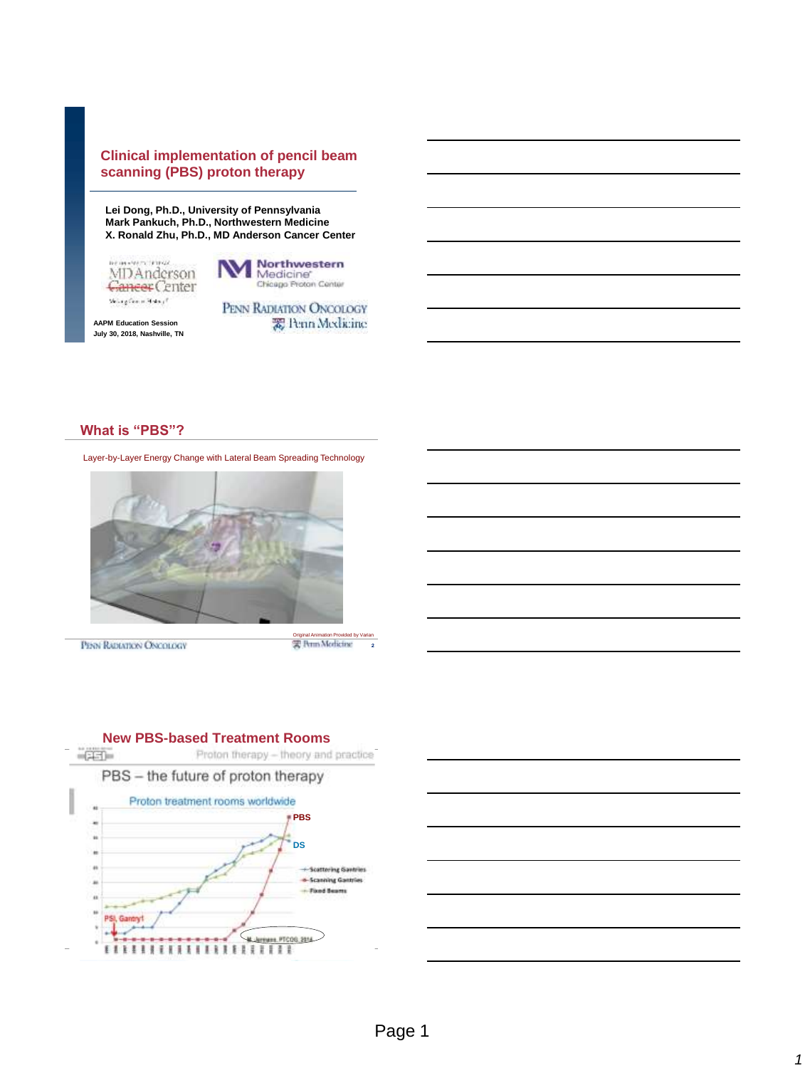## **Clinical implementation of pencil beam scanning (PBS) proton therapy**

**Lei Dong, Ph.D., University of Pennsylvania Mark Pankuch, Ph.D., Northwestern Medicine X. Ronald Zhu, Ph.D., MD Anderson Cancer Center**

**MDAnderson** Cancer Center Skingfann Henri



**AAPM Education Session July 30, 2018, Nashville, TN** PENN RADIATION ONCOLOGY 需 Penn Medicine

### **What is "PBS"?**

Layer-by-Layer Energy Change with Lateral Beam Spreading Technology



PENN RADIATION ONCOLOGY

2 Original Animation Provided by V<br>Varian Morris first





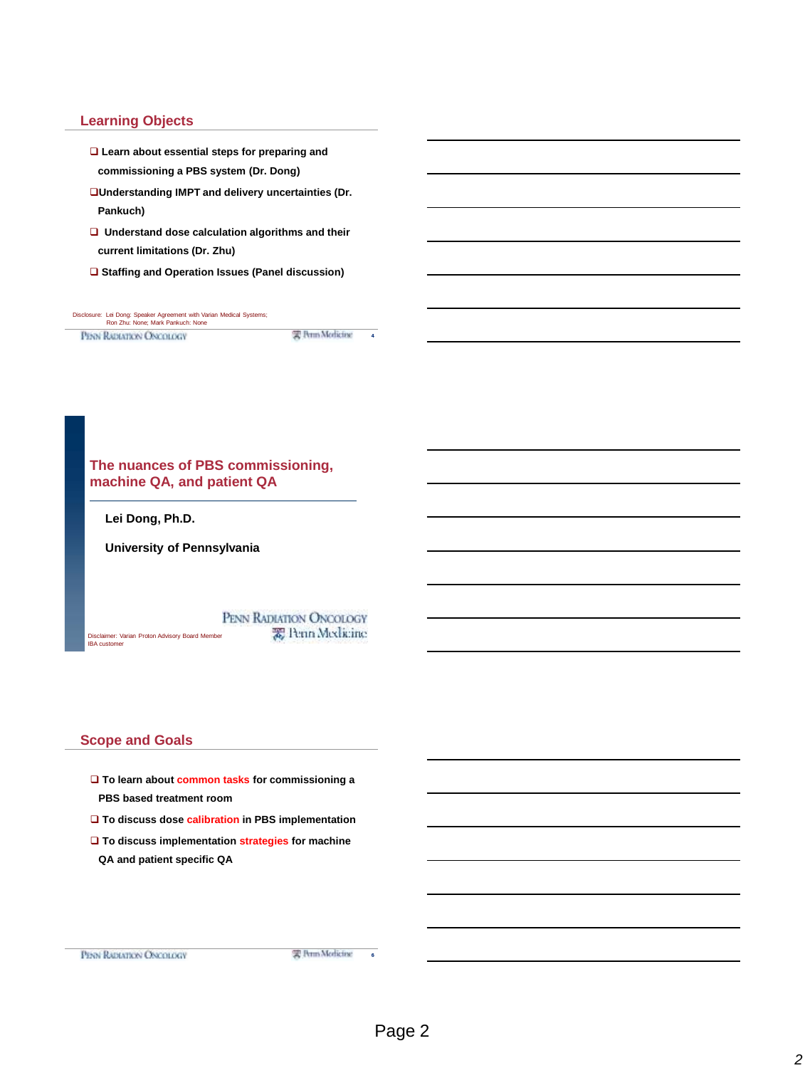# **Learning Objects**

- **Learn about essential steps for preparing and commissioning a PBS system (Dr. Dong)**
- **Understanding IMPT and delivery uncertainties (Dr. Pankuch)**
- **Understand dose calculation algorithms and their current limitations (Dr. Zhu)**
- **Staffing and Operation Issues (Panel discussion)**

| Disclosure: Lei Dong: Speaker Agreement with Varian Medical Systems;<br>Ron Zhu: None: Mark Pankuch: None |                 |  |
|-----------------------------------------------------------------------------------------------------------|-----------------|--|
| <b>PENN RADIATION ONCOLOGY</b>                                                                            | 实 Perm Modicine |  |



#### **Scope and Goals**

- **To learn about common tasks for commissioning a PBS based treatment room**
- **To discuss dose calibration in PBS implementation**
- **To discuss implementation strategies for machine QA and patient specific QA**

6

雲 Perm Medicine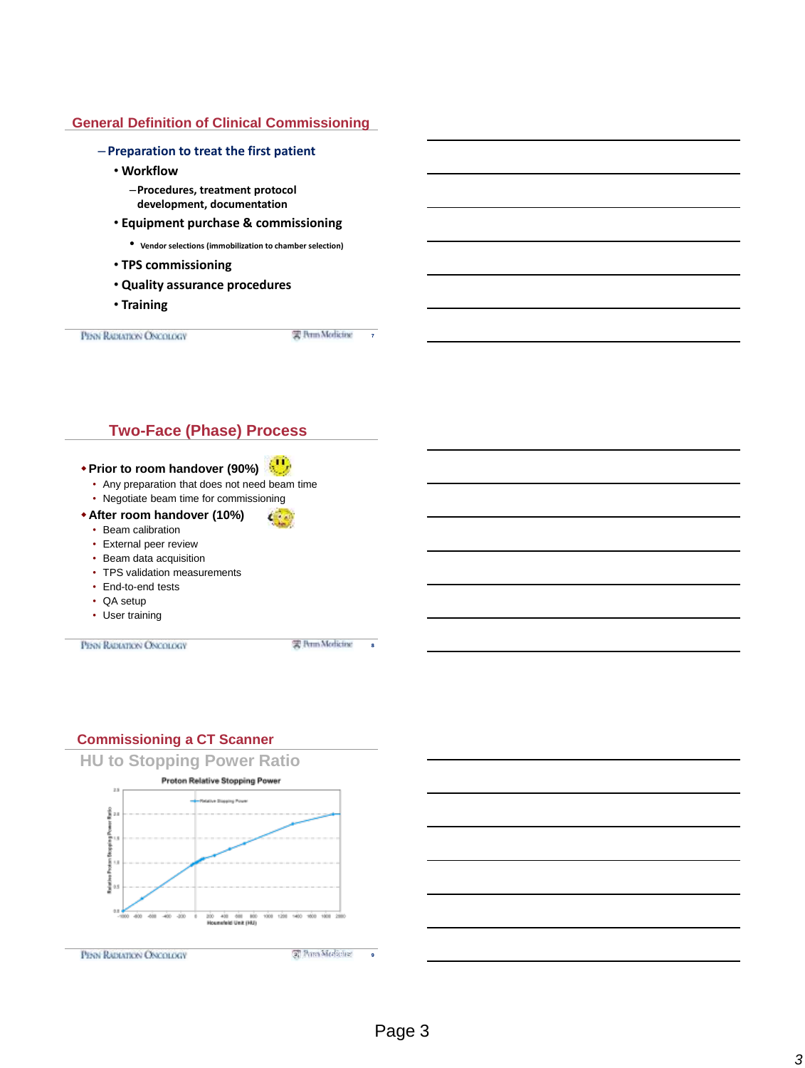# **General Definition of Clinical Commissioning**

– **Preparation to treat the first patient** • **Workflow** –**Procedures, treatment protocol development, documentation** • **Equipment purchase & commissioning** • **Vendor selections (immobilization to chamber selection)** • **TPS commissioning** • **Quality assurance procedures** • **Training** PERN RADIATION ONCOLOGY 实 Perm Modicine  $\overline{7}$ 

# **Two-Face (Phase) Process**

# **Prior to room handover (90%)**

- Any preparation that does not need beam time
- Negotiate beam time for commissioning
- **After room handover (10%)**
	- Beam calibration
	- External peer review
	- Beam data acquisition
	- TPS validation measurements
	- End-to-end tests
	- QA setup
	- User training

PENN RADIATION ONCOLOGY

雲 Perm Modicine 8

# **Commissioning a CT Scanner**

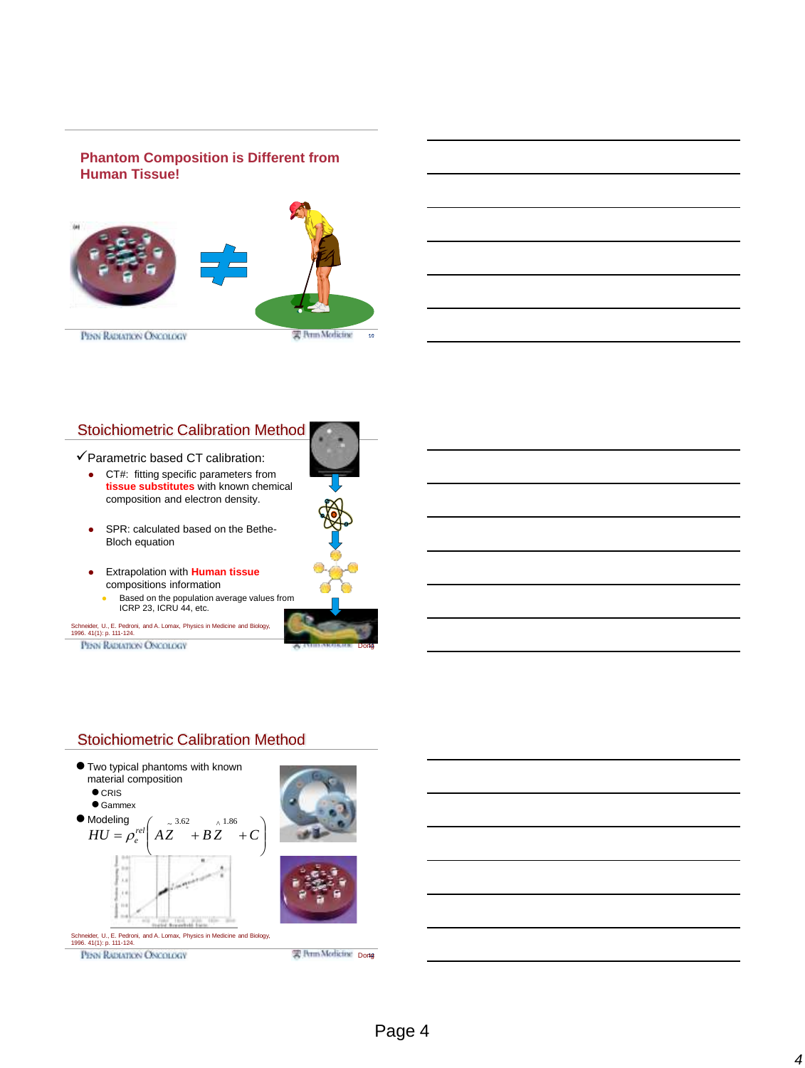# **Phantom Composition is Different from Human Tissue!**



# Stoichiometric Calibration Method

#### $\checkmark$  Parametric based CT calibration:

- CT#: fitting specific parameters from **tissue substitutes** with known chemical composition and electron density.
- SPR: calculated based on the Bethe-Bloch equation
- Extrapolation with **Human tissue**  compositions information
	- **Based on the population average values from** ICRP 23, ICRU 44, etc.

Schneider, U., E. Pedroni, and A. Lomax, Physics in Medicine and Biology, 1996. 41(1): p. 111-124.

PENN RADIATION ONCOLOGY



14

Dong

# Stoichiometric Calibration Method

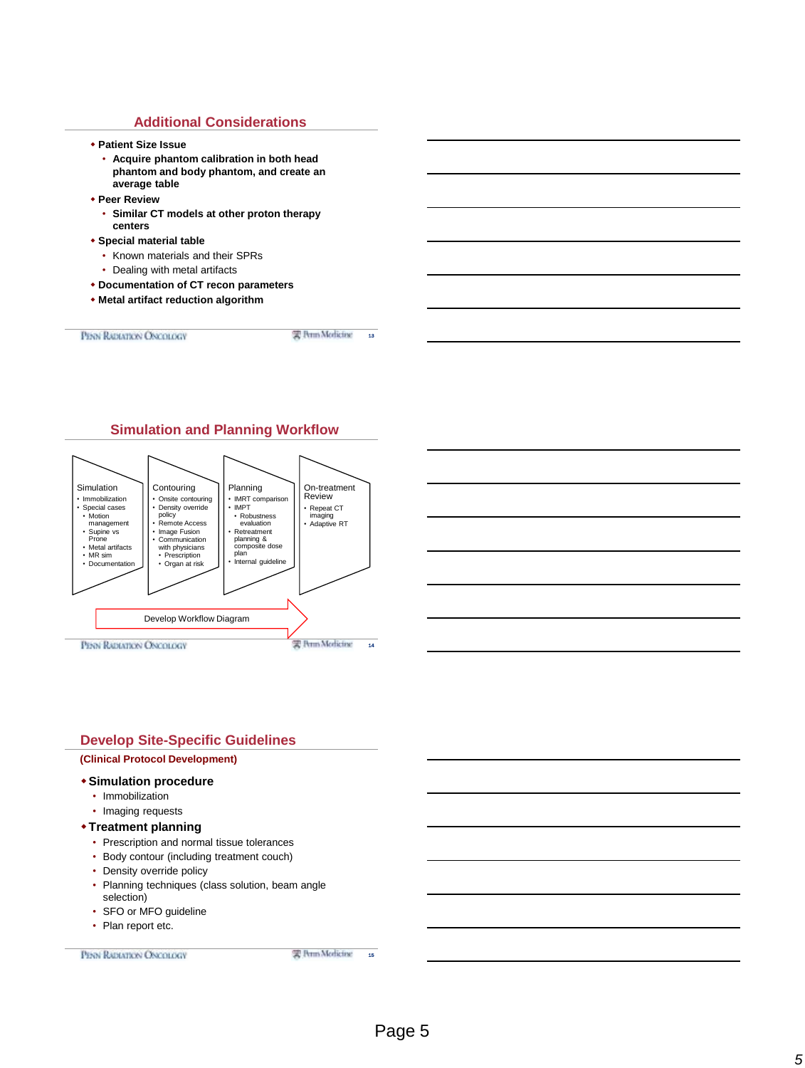#### **Additional Considerations**

- **Patient Size Issue**
	- **Acquire phantom calibration in both head phantom and body phantom, and create an average table**
- **Peer Review**
	- **Similar CT models at other proton therapy centers**
- **Special material table**
	- Known materials and their SPRs
	- Dealing with metal artifacts
- **Documentation of CT recon parameters**
- **Metal artifact reduction algorithm**

PERN RABIATION ONCOLOGY

实 Perm Modicine 13



# **Develop Site-Specific Guidelines Simulation procedure** • Immobilization • Imaging requests **Treatment planning** • Prescription and normal tissue tolerances • Body contour (including treatment couch) • Density override policy • Planning techniques (class solution, beam angle selection) • SFO or MFO guideline • Plan report etc. **(Clinical Protocol Development)**

PENN RADIATION ONCOLOGY

需 Perm Modicine 15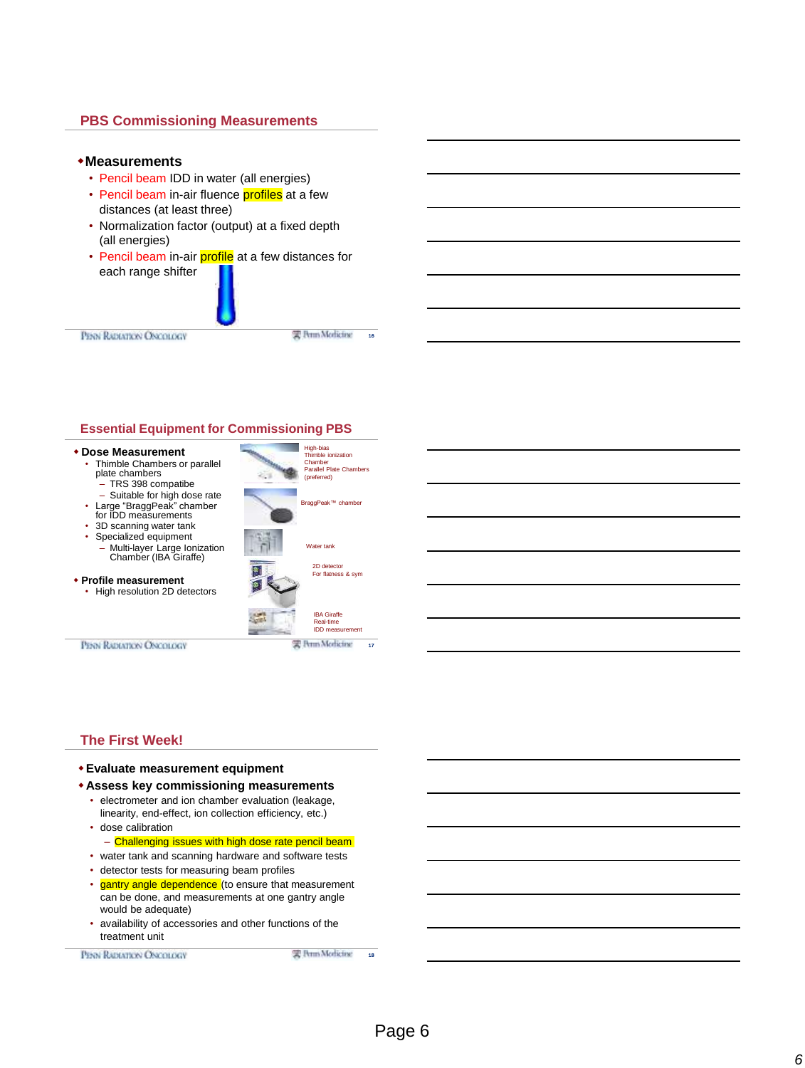## **PBS Commissioning Measurements**

#### **Measurements**

- Pencil beam IDD in water (all energies)
- Pencil beam in-air fluence profiles at a few distances (at least three)
- Normalization factor (output) at a fixed depth (all energies)
- Pencil beam in-air **profile** at a few distances for each range shifter

PERN RADIATION ONCOLOGY

实 Perm Modicine

16

#### **Essential Equipment for Commissioning PBS**



### **The First Week!**

#### **Evaluate measurement equipment**

- **Assess key commissioning measurements**
	- electrometer and ion chamber evaluation (leakage, linearity, end-effect, ion collection efficiency, etc.)
	- dose calibration – Challenging issues with high dose rate pencil beam
	- water tank and scanning hardware and software tests
	- detector tests for measuring beam profiles
	- gantry angle dependence (to ensure that measurement can be done, and measurements at one gantry angle would be adequate)
	- availability of accessories and other functions of the treatment unit

PENN RADIATION ONCOLOGY

雲 Perm Modicine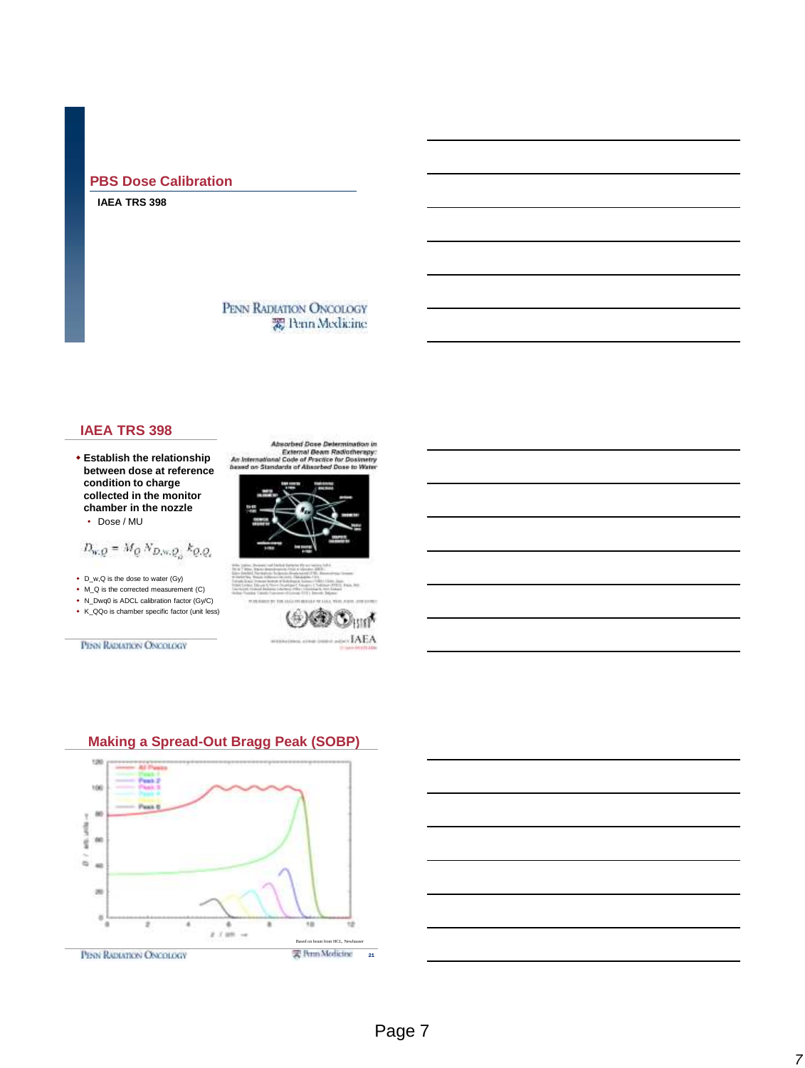# **PBS Dose Calibration**

#### **IAEA TRS 398**

# PENN RADIATION ONCOLOGY 爱 Penn Medicine

## **IAEA TRS 398**

 **Establish the relationship between dose at reference condition to charge collected in the monitor chamber in the nozzle**

$$
\cdot
$$
 Does / MU

$$
D_{w,Q}=M_Q\,N_{D,w,Q_\alpha}\,k_{Q,Q_\alpha}
$$

- D\_w,Q is the dose to water (Gy)
- M\_Q is the corrected measurement (C)
- N\_Dwq0 is ADCL calibration factor (Gy/C)
- K\_QQo is chamber specific factor (unit less)

PENN RADIATION ONCOLOGY







# **Making a Spread-Out Bragg Peak (SOBP)**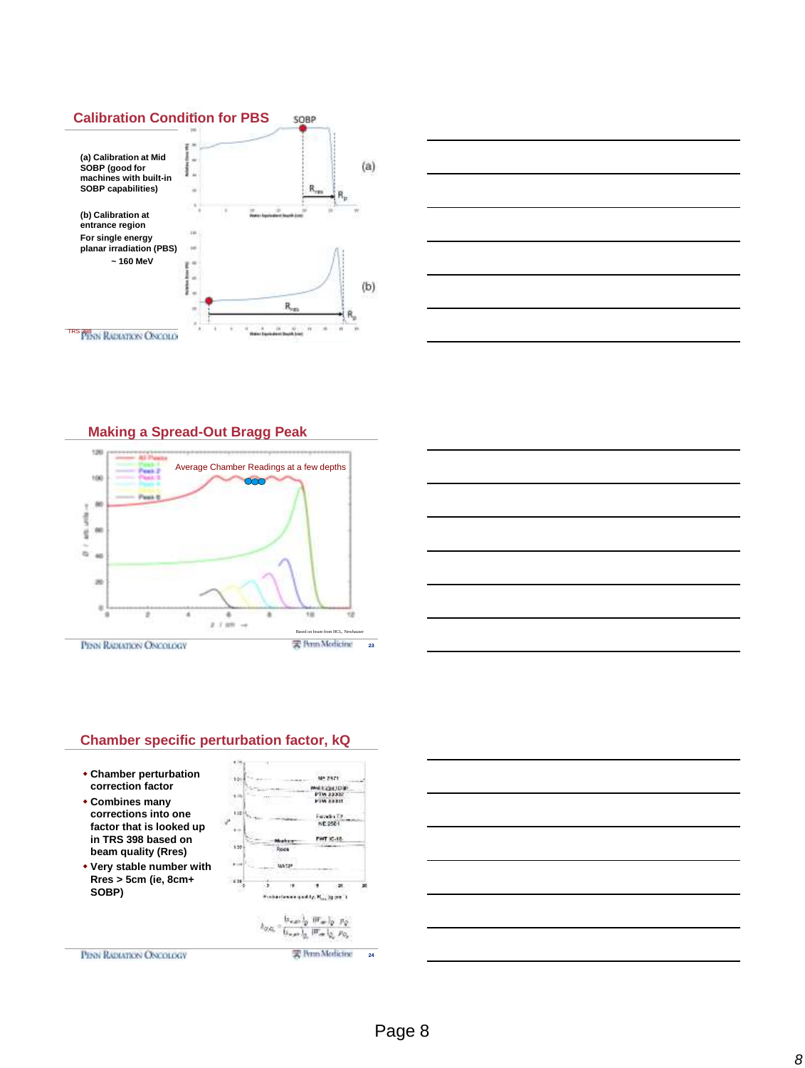



**Making a Spread-Out Bragg Peak**









- **Combines many corrections into one factor that is looked up in TRS 398 based on beam quality (Rres)**
- **Very stable number with Rres > 5cm (ie, 8cm+ SOBP)**



雲 Perm Medicine

PENN RADIATION ONCOLOGY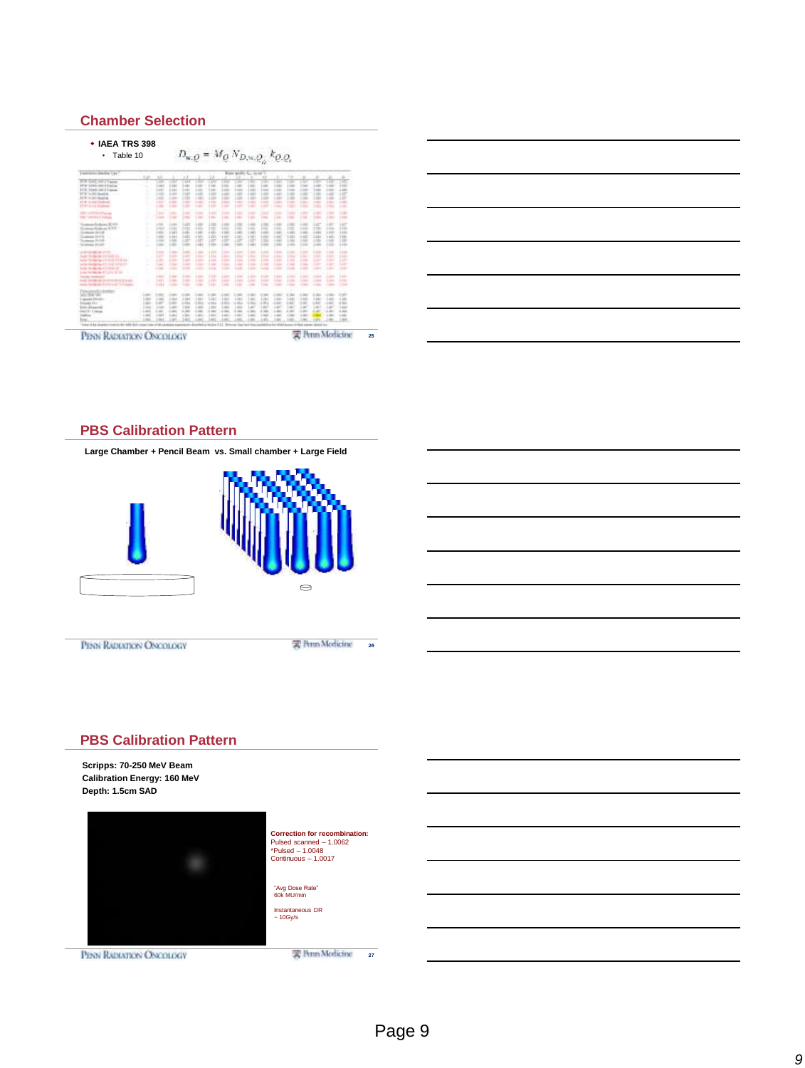#### **Chamber Selection**





#### **PBS Calibration Pattern**



PENN RADIATION ONCOLOGY

雲 Perm Medicine

### **PBS Calibration Pattern**

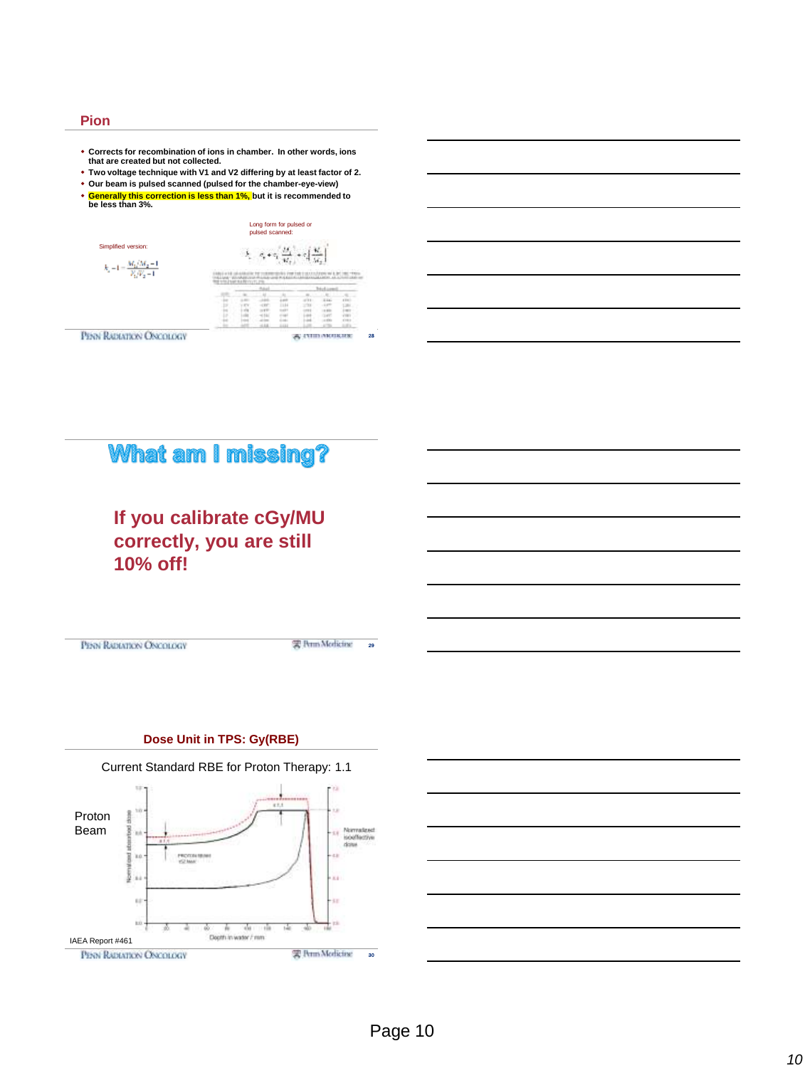#### **Pion**

- **Corrects for recombination of ions in chamber. In other words, ions that are created but not collected.**
- **Two voltage technique with V1 and V2 differing by at least factor of 2.**
- **Our beam is pulsed scanned (pulsed for the chamber-eye-view)**
- **Generally this correction is less than 1%, but it is recommended to be less than 3%.** Long form for pulsed or pulsed scanned: Simplified version:  $\label{eq:2.1} \hat{P}_i = \sigma_i + \sigma_i \left[ \frac{M_i}{M_i} + \sigma_i \left[ \frac{M_i}{M_i} \right] \right]$  $k_{\rm s} \!=\! 1 \!=\! \frac{M_{\rm h}}{V_{\rm h}}$

| . .<br>$- - - - - - -$<br>w |   |  |  |        |  |
|-----------------------------|---|--|--|--------|--|
|                             |   |  |  |        |  |
|                             |   |  |  |        |  |
|                             |   |  |  |        |  |
|                             |   |  |  |        |  |
|                             |   |  |  |        |  |
|                             |   |  |  |        |  |
|                             | × |  |  | $\sim$ |  |

PENN RADIATION OF



# **If you calibrate cGy/MU correctly, you are still 10% off!**

PENN RADIATION ONCOLOGY

实 Perm Modicine 29

# **Dose Unit in TPS: Gy(RBE)**



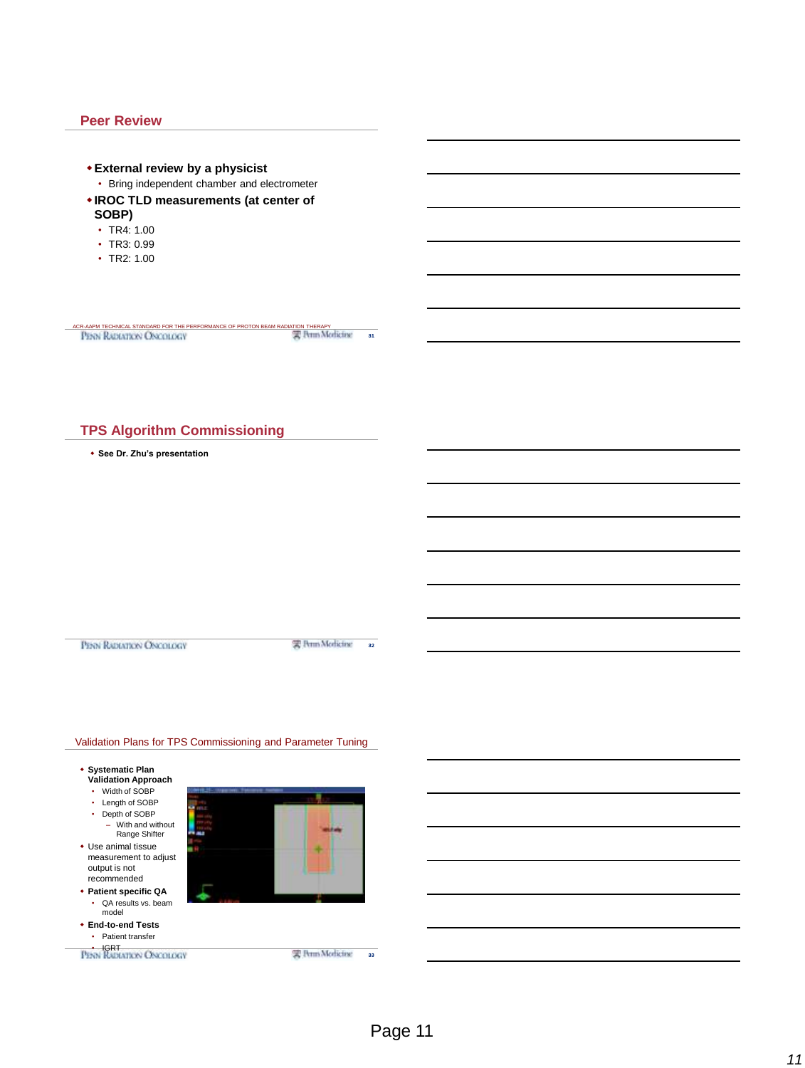#### **Peer Review**

31 **External review by a physicist** • Bring independent chamber and electrometer **IROC TLD measurements (at center of SOBP)** • TR4: 1.00 • TR3: 0.99 • TR2: 1.00 ACR-AAPM TECHNICAL STANDARD FOR THE PERFORMANCE OF PROTON BEAM RADIATION THERAPY THE PERFORMANCE OF PROTON BEAM RADIATION THERAPY THE MEDICAL STANDARD FOR THE PERFORMANCE OF PROTON BEAM RADIATION THERAPY

# **TPS Algorithm Commissioning**

**See Dr. Zhu's presentation**

PENN RADIATION ONCOLOGY

雲 Perm Modicine az

#### Validation Plans for TPS Commissioning and Parameter Tuning

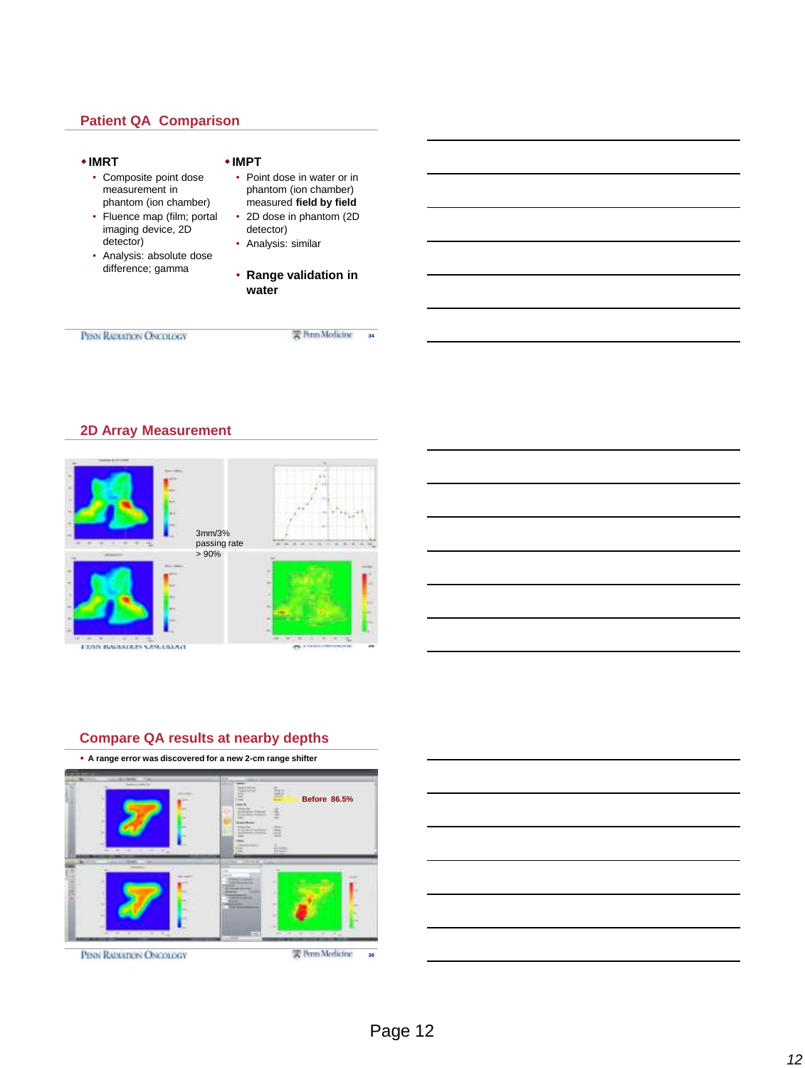# **Patient QA Comparison**

#### **IMRT IMPT** • Composite point dose • Point dose in water or in measurement in phantom (ion chamber) phantom (ion chamber) measured **field by field** • 2D dose in phantom (2D • Fluence map (film; portal imaging device, 2D detector) detector) • Analysis: similar • Analysis: absolute dose difference; gamma • **Range validation in water** PENN RADIATION ONCOLOGY 实 Perm Modicine 34

### **2D Array Measurement**



# **Compare QA results at nearby depths**

**A range error was discovered for a new 2-cm range shifter**



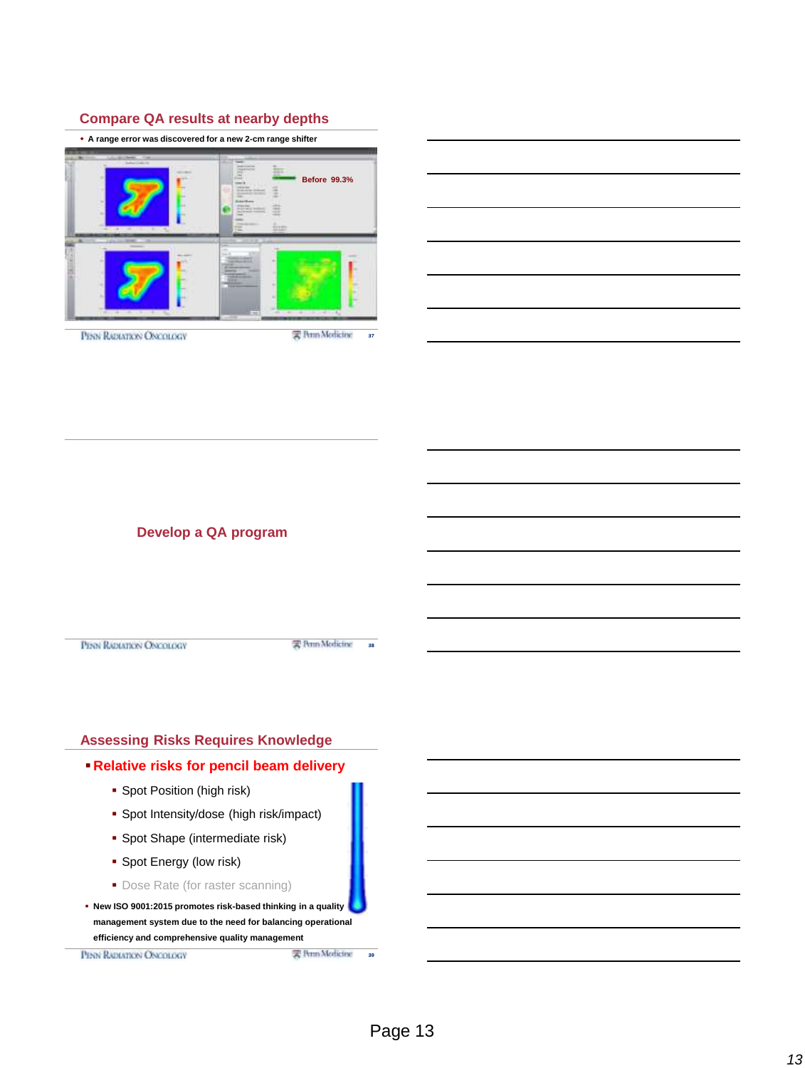# **Compare QA results at nearby depths**

| • A range error was discovered for a new 2-cm range shifter                                                                           |                                                                                                                            |
|---------------------------------------------------------------------------------------------------------------------------------------|----------------------------------------------------------------------------------------------------------------------------|
| -<br><b>Service</b><br>$\frac{1}{2} \left( \frac{1}{2} \right) \left( \frac{1}{2} \right) \left( \frac{1}{2} \right)$<br><b>STORE</b> | --<br><b>Before 99.3%</b><br><b><i><u>ALLEN 24</u></i></b><br><b><i><u>ALCOHOL: NOR</u></i></b><br>-<br><b>COLEMAN</b><br> |
| pl. 14 .- 14. 14. 14. 15.                                                                                                             | - -<br>-<br>٠<br>٠<br>٠<br><b>The Company's Company's</b><br>÷<br>$\sim$                                                   |
| PENN RADIATION ONCOLOGY                                                                                                               | 实 Perm Modicine<br>37                                                                                                      |



**Develop a QA program**

PENN RADIATION ONCOLOGY

雲 Perm Modicine 38



PENN RADIATION ONCOLOGY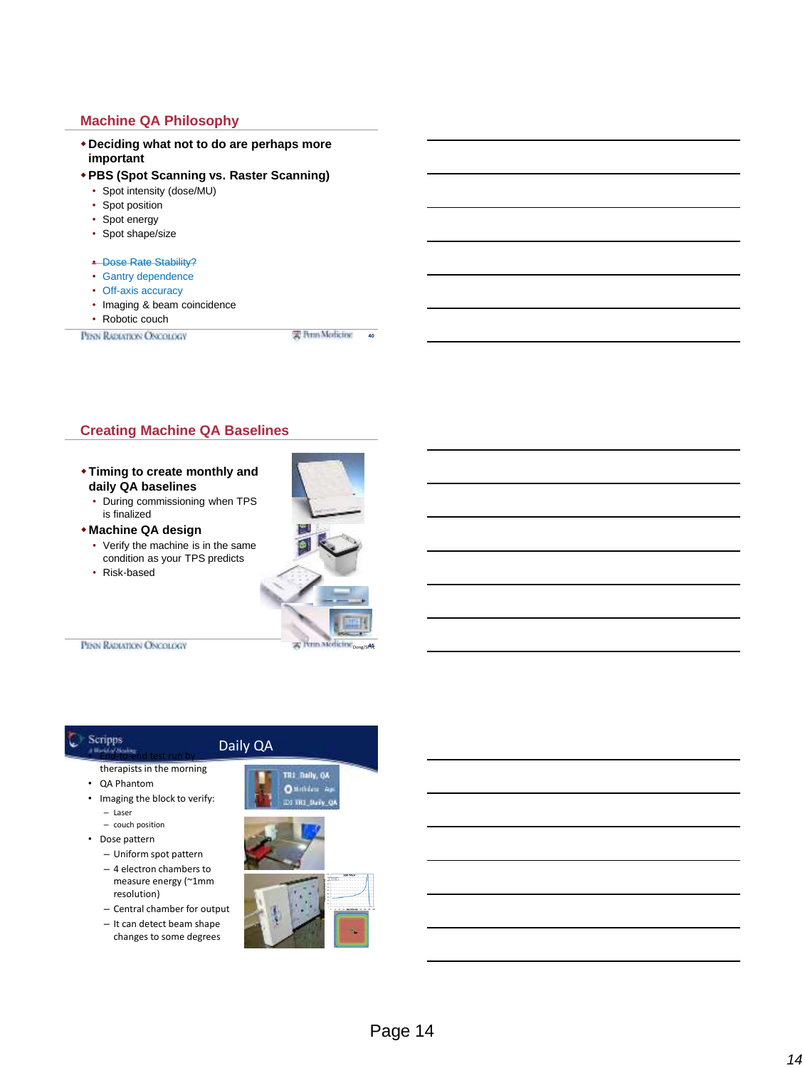# **Machine QA Philosophy**

- **Deciding what not to do are perhaps more important**
- **PBS (Spot Scanning vs. Raster Scanning)**
	- Spot intensity (dose/MU)
	- Spot position
	- Spot energy
	- Spot shape/size
	- Dose Rate Stability?
	- Gantry dependence
	- Off-axis accuracy
	- Imaging & beam coincidence

**Creating Machine QA Baselines**

**Timing to create monthly and** 

• During commissioning when TPS

• Verify the machine is in the same condition as your TPS predicts

**daily QA baselines**

is finalized **Machine QA design**

• Risk-based

• Robotic couch

PENN RADIATION ONCOLOGY

<sup>2</sup> Perm Merlicine <sub>Dong/S</sub>A4

41

实 Perm Modicine 40

PENN RADIATION ONCOLOGY

# Scripps

• End-to-end test run by therapists in the morning

- QA Phantom
- Imaging the block to verify: – Laser
	- couch position
- Dose pattern
	- Uniform spot pattern – 4 electron chambers to
	- measure energy (~1mm resolution)
	- Central chamber for output
	- It can detect beam shape changes to some degrees



Daily QA

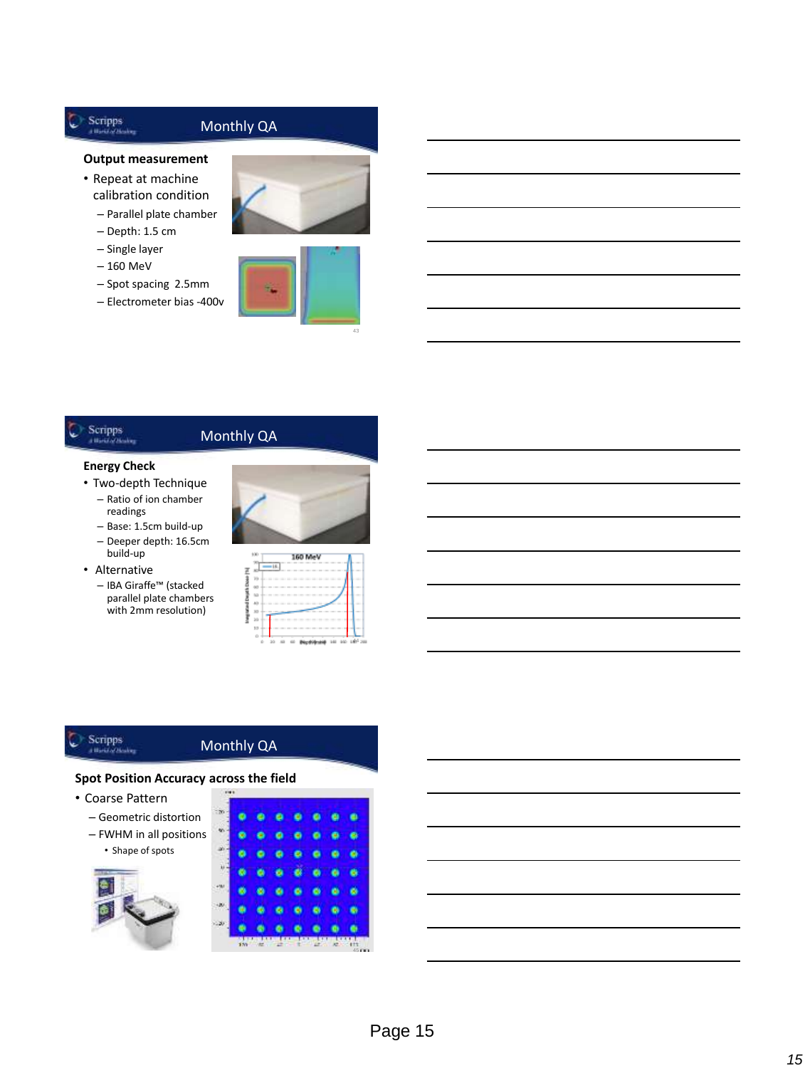# Monthly QA

#### **Output measurement**

- Repeat at machine calibration condition
	- Parallel plate chamber
	- Depth: 1.5 cm
	- Single layer
	- 160 MeV

 $\blacktriangleright$  Scripps 44

- Spot spacing 2.5mm
- Electrometer bias -400v



# Scripps

# Monthly QA

#### **Energy Check**

- Two-depth Technique – Ratio of ion chamber readings
	- Base: 1.5cm build-up – Deeper depth: 16.5cm
- build-up
- Alternative
	- IBA Giraffe™ (stacked parallel plate chambers with 2mm resolution)



|  |  | 160 Mev |  |  |
|--|--|---------|--|--|
|  |  |         |  |  |
|  |  |         |  |  |
|  |  |         |  |  |
|  |  |         |  |  |
|  |  |         |  |  |
|  |  |         |  |  |
|  |  |         |  |  |
|  |  |         |  |  |
|  |  |         |  |  |

# Scripps<br> *C* Scripps

# Monthly QA

#### **Spot Position Accuracy across the field**

- Coarse Pattern
	- Geometric distortion
	- FWHM in all positions • Shape of spots

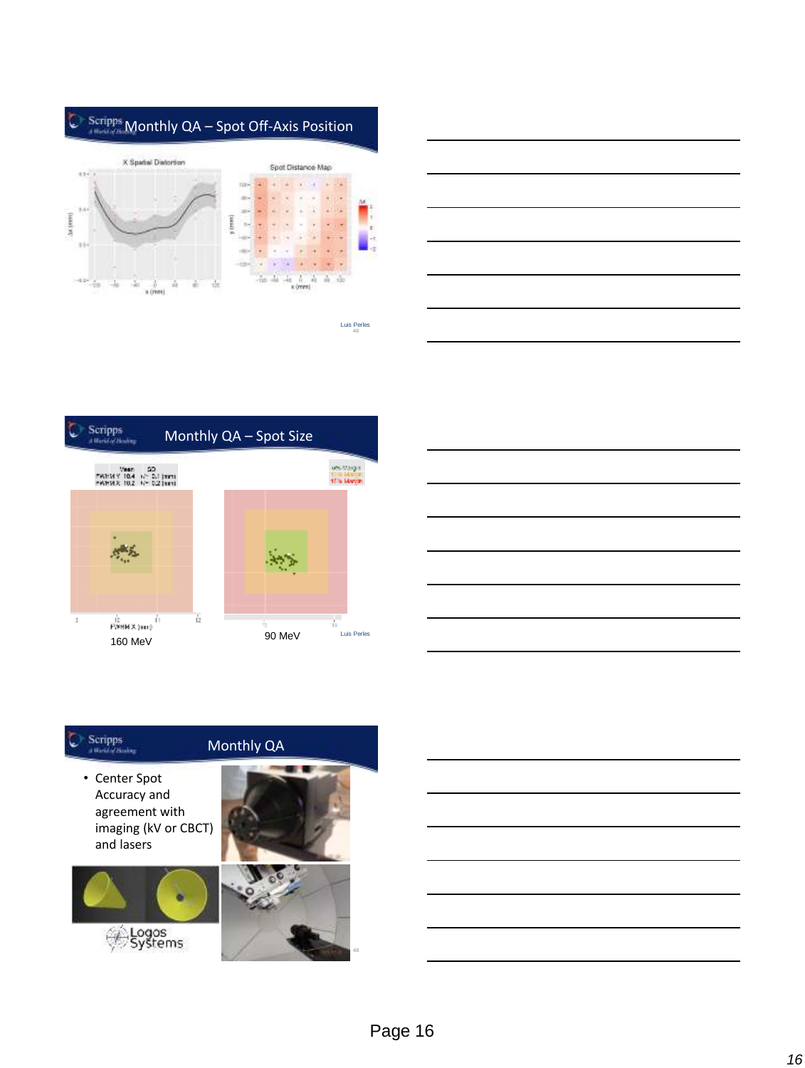